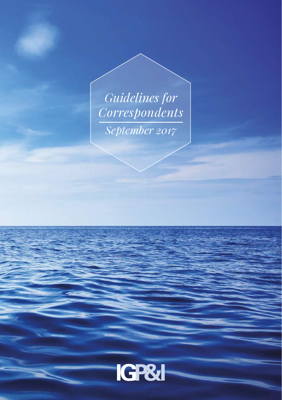*Guidelines for Correspondents September 2017*

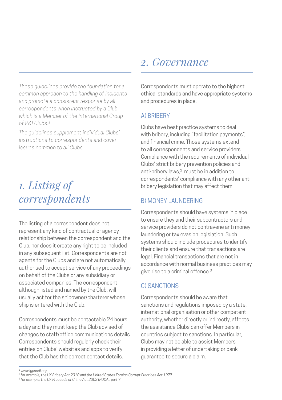*These guidelines provide the foundation for a common approach to the handling of incidents and promote a consistent response by all correspondents when instructed by a Club which is a Member of the International Group of P&I Clubs.1*

*The guidelines supplement individual Clubs' instructions to correspondents and cover issues common to all Clubs.*

## *1. Listing of correspondents*

The listing of a correspondent does not represent any kind of contractual or agency relationship between the correspondent and the Club, nor does it create any right to be included in any subsequent list. Correspondents are not agents for the Clubs and are not automatically authorised to accept service of any proceedings on behalf of the Clubs or any subsidiary or associated companies. The correspondent, although listed and named by the Club, will usually act for the shipowner/charterer whose ship is entered with the Club.

Correspondents must be contactable 24 hours a day and they must keep the Club advised of changes to staff/office communications details. Correspondents should regularly check their entries on Clubs' websites and apps to verify that the Club has the correct contact details.

## *2. Governance*

Correspondents must operate to the highest ethical standards and have appropriate systems and procedures in place.

#### A) BRIBERY

Clubs have best practice systems to deal with bribery, including "facilitation payments". and financial crime. Those systems extend to all correspondents and service providers. Compliance with the requirements of individual Clubs' strict bribery prevention policies and anti-bribery laws,<sup>2</sup> must be in addition to correspondents' compliance with any other antibribery legislation that may affect them.

### B) MONEY LAUNDERING

Correspondents should have systems in place to ensure they and their subcontractors and service providers do not contravene anti moneylaundering or tax evasion legislation. Such systems should include procedures to identify their clients and ensure that transactions are legal. Financial transactions that are not in accordance with normal business practices may give rise to a criminal offence.<sup>3</sup>

### C) SANCTIONS

Correspondents should be aware that sanctions and regulations imposed by a state, international organisation or other competent authority, whether directly or indirectly, affects the assistance Clubs can offer Members in countries subject to sanctions. In particular, Clubs may not be able to assist Members in providing a letter of undertaking or bank guarantee to secure a claim.

*<sup>1</sup> [www.igpandi.org](http://www.igpandi.org) 2 for example, the UK Bribery Act 2010 and the United States Foreign Corrupt Practices Act 1977*

*<sup>3</sup> for example, the UK Proceeds of Crime Act 2002 (POCA), part 7*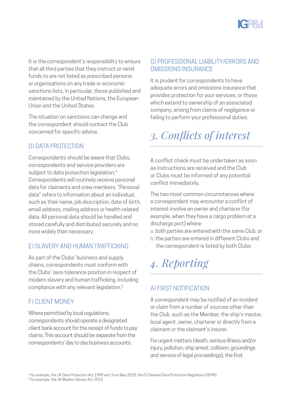

It is the correspondent's responsibility to ensure that all third parties that they instruct or remit funds to are not listed as prescribed persons or organisations on any trade or economic sanctions lists, in particular, those published and maintained by the United Nations, the European Union and the United States.

The situation on sanctions can change and the correspondent should contact the Club concerned for specific advice.

### D) DATA PROTECTION

Correspondents should be aware that Clubs, correspondents and service providers are subject to data protection legislation.<sup>4</sup> Correspondents will routinely receive personal data for claimants and crew members. "Personal data" refers to information about an individual, such as their name, job description, date of birth, email address, mailing address or health-related data. All personal data should be handled and stored carefully and distributed securely and no more widely than necessary.

### E) SLAVERY AND HUMAN TRAFFICKING

As part of the Clubs' business and supply chains, correspondents must conform with the Clubs' zero-tolerance position in respect of modern slavery and human trafficking, including compliance with any relevant legislation.5

### F) CLIENT MONEY

Where permitted by local regulations. correspondents should operate a designated client bank account for the receipt of funds to pay claims. This account should be separate from the correspondents' day to day business accounts.

#### G) PROFESSIONAL LIABILITY/ERRORS AND OMISSIONS INSURANCE

It is prudent for correspondents to have adequate errors and omissions insurance that provides protection for your services, or those which extend to ownership of an associated company, arising from claims of negligence or failing to perform your professional duties.

# *3. Conflicts of interest*

A conflict check must be undertaken as soon as instructions are received and the Club or Clubs must be informed of any potential conflict immediately.

The two most common circumstances where a correspondent may encounter a conflict of interest involve an owner and charterer (for example, when they have a cargo problem at a discharge port) where:

- a. both parties are entered with the same Club, or
- b. the parties are entered in different Clubs and the correspondent is listed by both Clubs.

*4. Reporting*

### A) FIRST NOTIFICATION

A correspondent may be notified of an incident or claim from a number of sources other than the Club, such as the Member, the ship's master, local agent, owner, charterer or directly from a claimant or the claimant's insurer.

For urgent matters (death, serious illness and/or injury, pollution, ship arrest, collision, groundings and service of legal proceedings), the first

*4 for example, the UK Data Protection Act 1998 and, from May 2018, the EU General Data Protection Regulation (GDPR)*

*5 for example, the UK Modern Slavery Act 2015*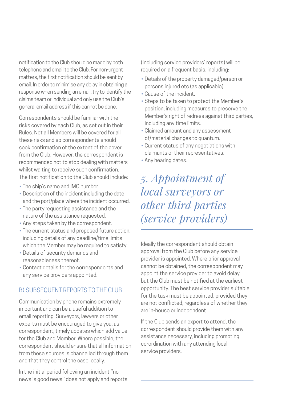notification to the Club should be made by both telephone and email to the Club. For non-urgent matters, the first notification should be sent by email. In order to minimise any delay in obtaining a response when sending an email, try to identify the claims team or individual and only use the Club's general email address if this cannot be done.

Correspondents should be familiar with the risks covered by each Club, as set out in their Rules. Not all Members will be covered for all these risks and so correspondents should seek confirmation of the extent of the cover from the Club. However, the correspondent is recommended not to stop dealing with matters whilst waiting to receive such confirmation. The first notification to the Club should include:

- The ship's name and IMO number.
- Description of the incident including the date and the port/place where the incident occurred.
- The party requesting assistance and the nature of the assistance requested.
- Any steps taken by the correspondent.
- The current status and proposed future action, including details of any deadline/time limits which the Member may be required to satisfy.
- Details of security demands and reasonableness thereof.
- Contact details for the correspondents and any service providers appointed.

#### B) SUBSEQUENT REPORTS TO THE CLUB

Communication by phone remains extremely important and can be a useful addition to email reporting. Surveyors, lawyers or other experts must be encouraged to give you, as correspondent, timely updates which add value for the Club and Member. Where possible, the correspondent should ensure that all information from these sources is channelled through them and that they control the case locally.

In the initial period following an incident ''no news is good news'' does not apply and reports (including service providers' reports) will be required on a frequent basis, including:

- Details of the property damaged/person or persons injured etc (as applicable).
- Cause of the incident.
- Steps to be taken to protect the Member's position, including measures to preserve the Member's right of redress against third parties. including any time limits.
- Claimed amount and any assessment of/material changes to quantum.
- Current status of any negotiations with claimants or their representatives.
- Any hearing dates.

## *5. Appointment of local surveyors or other third parties (service providers)*

Ideally the correspondent should obtain approval from the Club before any service provider is appointed. Where prior approval cannot be obtained, the correspondent may appoint the service provider to avoid delay but the Club must be notified at the earliest opportunity. The best service provider suitable for the task must be appointed, provided they are not conflicted, regardless of whether they are in-house or independent.

If the Club sends an expert to attend, the correspondent should provide them with any assistance necessary, including promoting co-ordination with any attending local service providers.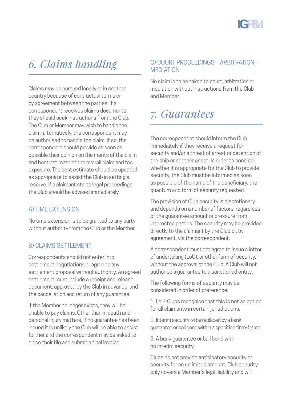# *6. Claims handling*

Claims may be pursued locally or in another country because of contractual terms or by agreement between the parties. If a correspondent receives claims documents, they should seek instructions from the Club. The Club or Member may wish to handle the claim; alternatively, the correspondent may be authorised to handle the claim. If so, the correspondent should provide as soon as possible their opinion on the merits of the claim and best estimate of the overall claim and fee exposure. The best estimate should be updated as appropriate to assist the Club in setting a reserve. If a claimant starts legal proceedings, the Club should be advised immediately.

### A) TIME EXTENSION

No time extension is to be granted to any party without authority from the Club or the Member.

### **B) CLAIMS SETTLEMENT**

Correspondents should not enter into settlement negotiations or agree to any settlement proposal without authority. An agreed settlement must include a receipt and release document, approved by the Club in advance, and the cancellation and return of any guarantee.

If the Member no longer exists, they will be unable to pay claims. Other than in death and personal injury matters, if no guarantee has been issued it is unlikely the Club will be able to assist further and the correspondent may be asked to close their file and submit a final invoice.

#### C) COURT PROCEEDINGS – ARBITRATION – MEDIATION

No claim is to be taken to court, arbitration or mediation without instructions from the Club and Member.

## *7. Guarantees*

The correspondent should inform the Club immediately if they receive a request for security and/or a threat of arrest or detention of the ship or another asset. In order to consider whether it is appropriate for the Club to provide security, the Club must be informed as soon as possible of the name of the beneficiary, the quantum and form of security requested.

The provision of Club security is discretionary and depends on a number of factors, regardless of the guarantee amount or pressure from interested parties. The security may be provided directly to the claimant by the Club or, by agreement, via the correspondent.

A correspondent must not agree to issue a letter of undertaking (LoU), or other form of security, without the approval of the Club. A Club will not authorise a guarantee to a sanctioned entity.

The following forms of security may be considered in order of preference:

1. LoU. Clubs recognise that this is not an option for all claimants in certain jurisdictions.

2. Interim security to be replaced by a bank guarantee or bail bond within a specified time-frame.

3. A bank guarantee or bail bond with no interim security.

Clubs do not provide anticipatory security or security for an unlimited amount. Club security only covers a Member's legal liability and will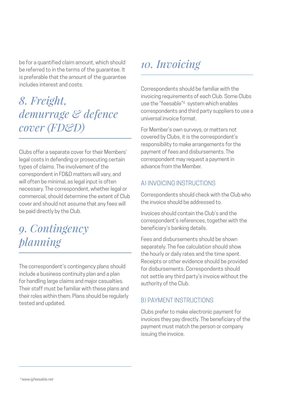be for a quantified claim amount, which should be referred to in the terms of the guarantee. It is preferable that the amount of the guarantee includes interest and costs.

## *8. Freight, demurrage & defence cover (FD&D)*

Clubs offer a separate cover for their Members' legal costs in defending or prosecuting certain types of claims. The involvement of the correspondent in FD&D matters will vary, and will often be minimal, as legal input is often necessary. The correspondent, whether legal or commercial, should determine the extent of Club cover and should not assume that any fees will be paid directly by the Club.

## *9. Contingency planning*

The correspondent's contingency plans should include a business continuity plan and a plan for handling large claims and major casualties. Their staff must be familiar with these plans and their roles within them. Plans should be regularly tested and updated.

## *10. Invoicing*

Correspondents should be familiar with the invoicing requirements of each Club. Some Clubs use the "feesable"6 system which enables correspondents and third party suppliers to use a universal invoice format.

For Member's own surveys, or matters not covered by Clubs, it is the correspondent's responsibility to make arrangements for the payment of fees and disbursements. The correspondent may request a payment in advance from the Member.

### A) INVOICING INSTRUCTIONS

Correspondents should check with the Club who the invoice should be addressed to.

Invoices should contain the Club's and the correspondent's references, together with the beneficiary's banking details.

Fees and disbursements should be shown separately. The fee calculation should show the hourly or daily rates and the time spent. Receipts or other evidence should be provided for disbursements. Correspondents should not settle any third party's invoice without the authority of the Club.

### B) PAYMENT INSTRUCTIONS

Clubs prefer to make electronic payment for invoices they pay directly. The beneficiary of the payment must match the person or company issuing the invoice.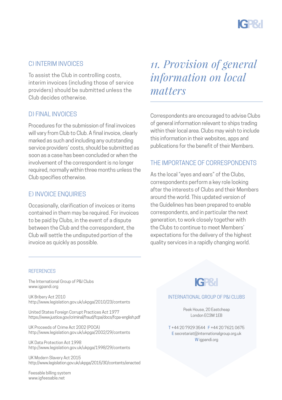

#### C) INTERIM INVOICES

To assist the Club in controlling costs, interim invoices (including those of service providers) should be submitted unless the Club decides otherwise.

#### D) FINAL INVOICES

Procedures for the submission of final invoices will vary from Club to Club. A final invoice, clearly marked as such and including any outstanding service providers' costs, should be submitted as soon as a case has been concluded or when the involvement of the correspondent is no longer required, normally within three months unless the Club specifies otherwise.

#### E) INVOICE ENQUIRIES

Occasionally, clarification of invoices or items contained in them may be required. For invoices to be paid by Clubs, in the event of a dispute between the Club and the correspondent, the Club will settle the undisputed portion of the invoice as quickly as possible.

## *11. Provision of general information on local matters*

Correspondents are encouraged to advise Clubs of general information relevant to ships trading within their local area. Clubs may wish to include this information in their websites, apps and publications for the benefit of their Members.

#### THE IMPORTANCE OF CORRESPONDENTS

As the local "eyes and ears" of the Clubs correspondents perform a key role looking after the interests of Clubs and their Members around the world. This updated version of the Guidelines has been prepared to enable correspondents, and in particular the next generation, to work closely together with the Clubs to continue to meet Members' expectations for the delivery of the highest quality services in a rapidly changing world.

#### **REFERENCES**

The International Group of P&I Clubs [www.igpandi.org](http://www.igpandi.org)

UK Bribery Act 2010 <http://www.legislation.gov.uk/ukpga/2010/23/contents>

United States Foreign Corrupt Practices Act 1977 <https://www.justice.gov/criminal/fraud/fcpa/docs/fcpa-english.pdf>

UK Proceeds of Crime Act 2002 (POCA) <http://www.legislation.gov.uk/ukpga/2002/29/contents>

UK Data Protection Act 1998 <http://www.legislation.gov.uk/ukpga/1998/29/contents>

UK Modern Slavery Act 2015 <http://www.legislation.gov.uk/ukpga/2015/30/contents/enacted>

Feesable billing system [www.igfeesable.net](http://www.igfeesable.net)

## **IGP&I**

#### INTERNATIONAL GROUP OF P&I CLUBS

Peek House, 20 Eastcheap London EC3M 1EB

T +44 20 7929 3544 F +44 20 7621 0675 E [secretariat@internationalgroup.org.uk](mailto:secretariat@internationalgroup.org.uk) W [igpandi.org](http://igpandi.org)